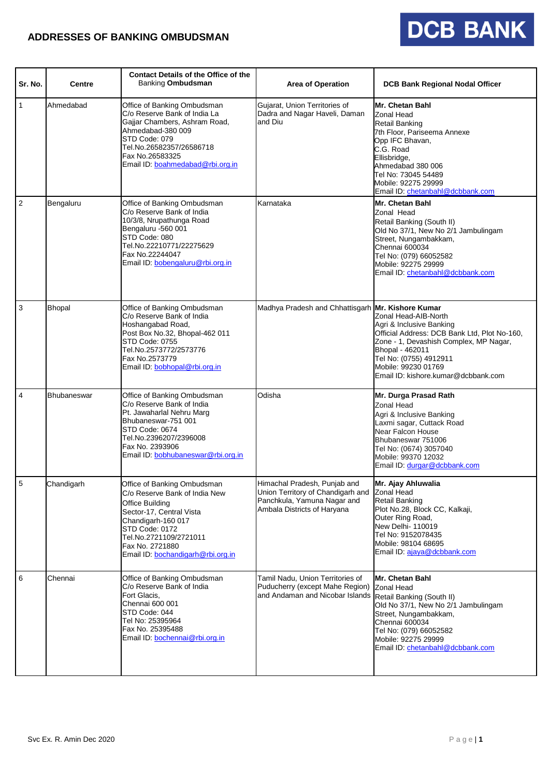### **ADDRESSES OF BANKING OMBUDSMAN**

# **DCB BANK**

| Sr. No.        | <b>Centre</b>      | <b>Contact Details of the Office of the</b><br><b>Banking Ombudsman</b>                                                                                                                                                               | <b>Area of Operation</b>                                                                                                         | <b>DCB Bank Regional Nodal Officer</b>                                                                                                                                                                                                                |
|----------------|--------------------|---------------------------------------------------------------------------------------------------------------------------------------------------------------------------------------------------------------------------------------|----------------------------------------------------------------------------------------------------------------------------------|-------------------------------------------------------------------------------------------------------------------------------------------------------------------------------------------------------------------------------------------------------|
| $\mathbf{1}$   | Ahmedabad          | Office of Banking Ombudsman<br>C/o Reserve Bank of India La<br>Gajjar Chambers, Ashram Road,<br>Ahmedabad-380 009<br>STD Code: 079<br>Tel.No.26582357/26586718<br>Fax No.26583325<br>Email ID: boahmedabad@rbi.org.in                 | Gujarat, Union Territories of<br>Dadra and Nagar Haveli, Daman<br>and Diu                                                        | Mr. Chetan Bahl<br><b>Zonal Head</b><br><b>Retail Banking</b><br>7th Floor, Pariseema Annexe<br>Opp IFC Bhavan,<br>C.G. Road<br>Ellisbridge,<br>Ahmedabad 380 006<br>Tel No: 73045 54489<br>Mobile: 92275 29999<br>Email ID: chetanbahl@dcbbank.com   |
| $\overline{2}$ | Bengaluru          | Office of Banking Ombudsman<br>C/o Reserve Bank of India<br>10/3/8, Nrupathunga Road<br>Bengaluru -560 001<br>STD Code: 080<br>Tel.No.22210771/22275629<br>Fax No.22244047<br>Email ID: bobengaluru@rbi.org.in                        | Karnataka                                                                                                                        | Mr. Chetan Bahl<br>Zonal Head<br>Retail Banking (South II)<br>Old No 37/1, New No 2/1 Jambulingam<br>Street, Nungambakkam,<br>Chennai 600034<br>Tel No: (079) 66052582<br>Mobile: 92275 29999<br>Email ID: chetanbahl@dcbbank.com                     |
| 3              | <b>Bhopal</b>      | Office of Banking Ombudsman<br>C/o Reserve Bank of India<br>Hoshangabad Road,<br>Post Box No.32, Bhopal-462 011<br>STD Code: 0755<br>Tel.No.2573772/2573776<br>Fax No.2573779<br>Email ID: bobhopal@rbi.org.in                        | Madhya Pradesh and Chhattisgarh Mr. Kishore Kumar                                                                                | Zonal Head-AIB-North<br>Agri & Inclusive Banking<br>Official Address: DCB Bank Ltd, Plot No-160,<br>Zone - 1, Devashish Complex, MP Nagar,<br>Bhopal - 462011<br>Tel No: (0755) 4912911<br>Mobile: 99230 01769<br>Email ID: kishore.kumar@dcbbank.com |
| 4              | <b>Bhubaneswar</b> | Office of Banking Ombudsman<br>C/o Reserve Bank of India<br>Pt. Jawaharlal Nehru Marg<br>Bhubaneswar-751 001<br>STD Code: 0674<br>Tel.No.2396207/2396008<br>Fax No. 2393906<br>Email ID: bobhubaneswar@rbi.org.in                     | Odisha                                                                                                                           | Mr. Durga Prasad Rath<br><b>Zonal Head</b><br>Agri & Inclusive Banking<br>Laxmi sagar, Cuttack Road<br>Near Falcon House<br>Bhubaneswar 751006<br>Tel No: (0674) 3057040<br>Mobile: 99370 12032<br>Email ID: durgar@dcbbank.com                       |
| $\mathbf 5$    | Chandigarh         | Office of Banking Ombudsman<br>C/o Reserve Bank of India New<br>Office Building<br>Sector-17, Central Vista<br>Chandigarh-160 017<br>STD Code: 0172<br>Tel.No.2721109/2721011<br>Fax No. 2721880<br>Email ID: bochandigarh@rbi.org.in | Himachal Pradesh, Punjab and<br>Union Territory of Chandigarh and<br>Panchkula, Yamuna Nagar and<br>Ambala Districts of Haryana  | Mr. Ajay Ahluwalia<br>Zonal Head<br><b>Retail Banking</b><br>Plot No.28, Block CC, Kalkaji,<br>Outer Ring Road,<br>New Delhi- 110019<br>Tel No: 9152078435<br>Mobile: 98104 68695<br>Email ID: ajaya@dcbbank.com                                      |
| 6              | Chennai            | Office of Banking Ombudsman<br>C/o Reserve Bank of India<br>Fort Glacis,<br>Chennai 600 001<br>STD Code: 044<br>Tel No: 25395964<br>Fax No. 25395488<br>Email ID: bochennai@rbi.org.in                                                | Tamil Nadu, Union Territories of<br>Puducherry (except Mahe Region)<br>and Andaman and Nicobar Islands Retail Banking (South II) | Mr. Chetan Bahl<br><b>Zonal Head</b><br>Old No 37/1, New No 2/1 Jambulingam<br>Street, Nungambakkam,<br>Chennai 600034<br>Tel No: (079) 66052582<br>Mobile: 92275 29999<br>Email ID: chetanbahl@dcbbank.com                                           |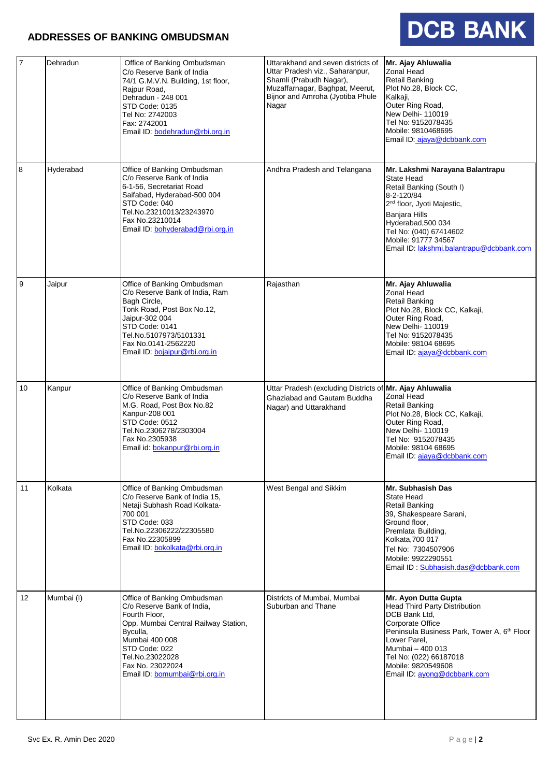#### **ADDRESSES OF BANKING OMBUDSMAN**

## DCB BANK

| $\overline{7}$ | Dehradun   | Office of Banking Ombudsman<br>C/o Reserve Bank of India<br>74/1 G.M.V.N. Building, 1st floor,<br>Rajpur Road,<br>Dehradun - 248 001<br>STD Code: 0135<br>Tel No: 2742003<br>Fax: 2742001<br>Email ID: bodehradun@rbi.org.in              | Uttarakhand and seven districts of<br>Uttar Pradesh viz., Saharanpur,<br>Shamli (Prabudh Nagar),<br>Muzaffarnagar, Baghpat, Meerut,<br>Bijnor and Amroha (Jyotiba Phule<br>Nagar | Mr. Ajay Ahluwalia<br><b>Zonal Head</b><br><b>Retail Banking</b><br>Plot No.28, Block CC,<br>Kalkaji,<br>Outer Ring Road,<br>New Delhi- 110019<br>Tel No: 9152078435<br>Mobile: 9810468695<br>Email ID: ajaya@dcbbank.com                                                       |
|----------------|------------|-------------------------------------------------------------------------------------------------------------------------------------------------------------------------------------------------------------------------------------------|----------------------------------------------------------------------------------------------------------------------------------------------------------------------------------|---------------------------------------------------------------------------------------------------------------------------------------------------------------------------------------------------------------------------------------------------------------------------------|
| 8              | Hyderabad  | Office of Banking Ombudsman<br>C/o Reserve Bank of India<br>6-1-56. Secretariat Road<br>Saifabad, Hyderabad-500 004<br>STD Code: 040<br>Tel.No.23210013/23243970<br>Fax No.23210014<br>Email ID: bohyderabad@rbi.org.in                   | Andhra Pradesh and Telangana                                                                                                                                                     | Mr. Lakshmi Narayana Balantrapu<br>State Head<br>Retail Banking (South I)<br>8-2-120/84<br>2 <sup>nd</sup> floor, Jyoti Majestic,<br><b>Banjara Hills</b><br>Hyderabad, 500 034<br>Tel No: (040) 67414602<br>Mobile: 91777 34567<br>Email ID: lakshmi.balantrapu@dcbbank.com    |
| $\overline{9}$ | Jaipur     | Office of Banking Ombudsman<br>C/o Reserve Bank of India, Ram<br>Bagh Circle,<br>Tonk Road, Post Box No.12,<br>Jaipur-302 004<br>STD Code: 0141<br>Tel.No.5107973/5101331<br>Fax No.0141-2562220<br>Email ID: bojaipur@rbi.org.in         | Rajasthan                                                                                                                                                                        | Mr. Ajay Ahluwalia<br>Zonal Head<br>Retail Banking<br>Plot No.28, Block CC, Kalkaji,<br>Outer Ring Road,<br>New Delhi- 110019<br>Tel No: 9152078435<br>Mobile: 98104 68695<br>Email ID: ajaya@dcbbank.com                                                                       |
| 10             | Kanpur     | Office of Banking Ombudsman<br>C/o Reserve Bank of India<br>M.G. Road, Post Box No.82<br>Kanpur-208 001<br>STD Code: 0512<br>Tel.No.2306278/2303004<br>Fax No.2305938<br>Email id: bokanpur@rbi.org.in                                    | Uttar Pradesh (excluding Districts of Mr. Ajay Ahluwalia<br>Ghaziabad and Gautam Buddha<br>Nagar) and Uttarakhand                                                                | <b>Zonal Head</b><br><b>Retail Banking</b><br>Plot No.28, Block CC, Kalkaji,<br>Outer Ring Road,<br>New Delhi-110019<br>Tel No: 9152078435<br>Mobile: 98104 68695<br>Email ID: ajaya@dcbbank.com                                                                                |
| 11             | Kolkata    | Office of Banking Ombudsman<br>C/o Reserve Bank of India 15,<br>Netaji Subhash Road Kolkata-<br>700 001<br>STD Code: 033<br>Tel.No.22306222/22305580<br>Fax No.22305899<br>Email ID: bokolkata@rbi.org.in                                 | West Bengal and Sikkim                                                                                                                                                           | Mr. Subhasish Das<br>State Head<br>Retail Banking<br>39, Shakespeare Sarani,<br>Ground floor,<br>Premlata Building,<br>Kolkata, 700 017<br>Tel No: 7304507906<br>Mobile: 9922290551<br>Email ID: Subhasish.das@dcbbank.com                                                      |
| 12             | Mumbai (I) | Office of Banking Ombudsman<br>C/o Reserve Bank of India,<br>Fourth Floor,<br>Opp. Mumbai Central Railway Station,<br>Byculla,<br>Mumbai 400 008<br>STD Code: 022<br>Tel.No.23022028<br>Fax No. 23022024<br>Email ID: bomumbai@rbi.org.in | Districts of Mumbai, Mumbai<br>Suburban and Thane                                                                                                                                | Mr. Ayon Dutta Gupta<br><b>Head Third Party Distribution</b><br>DCB Bank Ltd,<br>Corporate Office<br>Peninsula Business Park, Tower A, 6 <sup>th</sup> Floor<br>Lower Parel,<br>Mumbai - 400 013<br>Tel No: (022) 66187018<br>Mobile: 9820549608<br>Email ID: ayong@dcbbank.com |